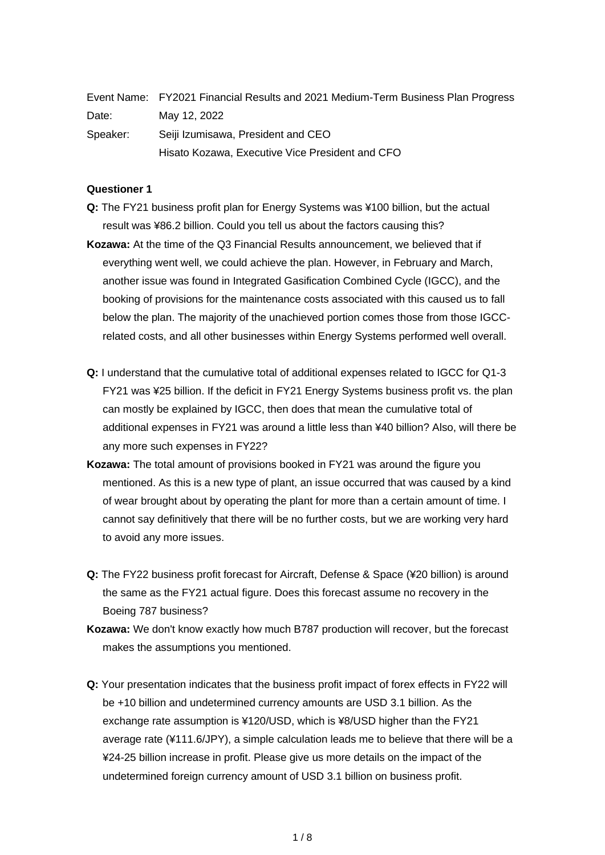|          | Event Name: FY2021 Financial Results and 2021 Medium-Term Business Plan Progress |
|----------|----------------------------------------------------------------------------------|
| Date:    | May 12, 2022                                                                     |
| Speaker: | Seiji Izumisawa, President and CEO                                               |
|          | Hisato Kozawa, Executive Vice President and CFO                                  |

### **Questioner 1**

- **Q:** The FY21 business profit plan for Energy Systems was ¥100 billion, but the actual result was ¥86.2 billion. Could you tell us about the factors causing this?
- **Kozawa:** At the time of the Q3 Financial Results announcement, we believed that if everything went well, we could achieve the plan. However, in February and March, another issue was found in Integrated Gasification Combined Cycle (IGCC), and the booking of provisions for the maintenance costs associated with this caused us to fall below the plan. The majority of the unachieved portion comes those from those IGCCrelated costs, and all other businesses within Energy Systems performed well overall.
- **Q:** I understand that the cumulative total of additional expenses related to IGCC for Q1-3 FY21 was ¥25 billion. If the deficit in FY21 Energy Systems business profit vs. the plan can mostly be explained by IGCC, then does that mean the cumulative total of additional expenses in FY21 was around a little less than ¥40 billion? Also, will there be any more such expenses in FY22?
- **Kozawa:** The total amount of provisions booked in FY21 was around the figure you mentioned. As this is a new type of plant, an issue occurred that was caused by a kind of wear brought about by operating the plant for more than a certain amount of time. I cannot say definitively that there will be no further costs, but we are working very hard to avoid any more issues.
- **Q:** The FY22 business profit forecast for Aircraft, Defense & Space (¥20 billion) is around the same as the FY21 actual figure. Does this forecast assume no recovery in the Boeing 787 business?
- **Kozawa:** We don't know exactly how much B787 production will recover, but the forecast makes the assumptions you mentioned.
- **Q:** Your presentation indicates that the business profit impact of forex effects in FY22 will be +10 billion and undetermined currency amounts are USD 3.1 billion. As the exchange rate assumption is ¥120/USD, which is ¥8/USD higher than the FY21 average rate (¥111.6/JPY), a simple calculation leads me to believe that there will be a ¥24-25 billion increase in profit. Please give us more details on the impact of the undetermined foreign currency amount of USD 3.1 billion on business profit.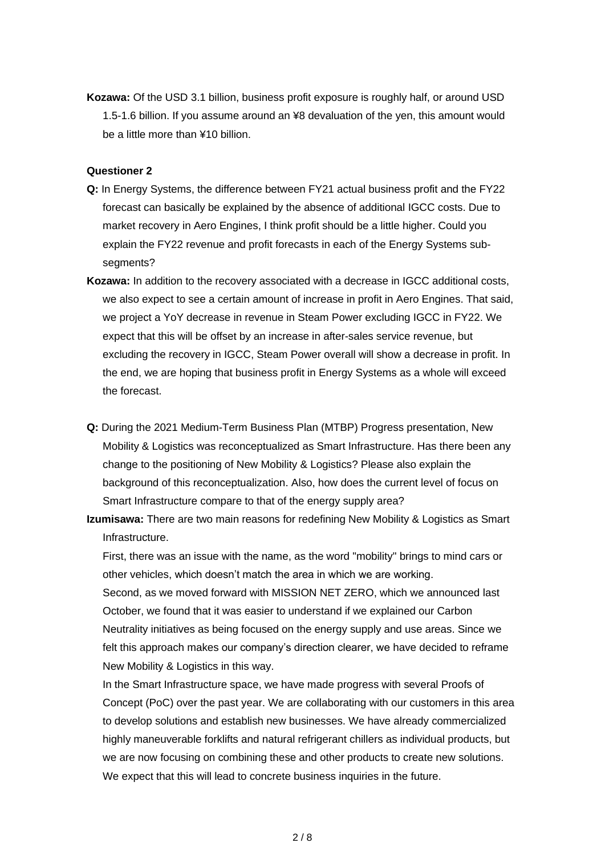**Kozawa:** Of the USD 3.1 billion, business profit exposure is roughly half, or around USD 1.5-1.6 billion. If you assume around an ¥8 devaluation of the yen, this amount would be a little more than ¥10 billion.

#### **Questioner 2**

- **Q:** In Energy Systems, the difference between FY21 actual business profit and the FY22 forecast can basically be explained by the absence of additional IGCC costs. Due to market recovery in Aero Engines, I think profit should be a little higher. Could you explain the FY22 revenue and profit forecasts in each of the Energy Systems subsegments?
- **Kozawa:** In addition to the recovery associated with a decrease in IGCC additional costs, we also expect to see a certain amount of increase in profit in Aero Engines. That said, we project a YoY decrease in revenue in Steam Power excluding IGCC in FY22. We expect that this will be offset by an increase in after-sales service revenue, but excluding the recovery in IGCC, Steam Power overall will show a decrease in profit. In the end, we are hoping that business profit in Energy Systems as a whole will exceed the forecast.
- **Q:** During the 2021 Medium-Term Business Plan (MTBP) Progress presentation, New Mobility & Logistics was reconceptualized as Smart Infrastructure. Has there been any change to the positioning of New Mobility & Logistics? Please also explain the background of this reconceptualization. Also, how does the current level of focus on Smart Infrastructure compare to that of the energy supply area?
- **Izumisawa:** There are two main reasons for redefining New Mobility & Logistics as Smart Infrastructure.

First, there was an issue with the name, as the word "mobility" brings to mind cars or other vehicles, which doesn't match the area in which we are working. Second, as we moved forward with MISSION NET ZERO, which we announced last October, we found that it was easier to understand if we explained our Carbon Neutrality initiatives as being focused on the energy supply and use areas. Since we felt this approach makes our company's direction clearer, we have decided to reframe New Mobility & Logistics in this way.

In the Smart Infrastructure space, we have made progress with several Proofs of Concept (PoC) over the past year. We are collaborating with our customers in this area to develop solutions and establish new businesses. We have already commercialized highly maneuverable forklifts and natural refrigerant chillers as individual products, but we are now focusing on combining these and other products to create new solutions. We expect that this will lead to concrete business inquiries in the future.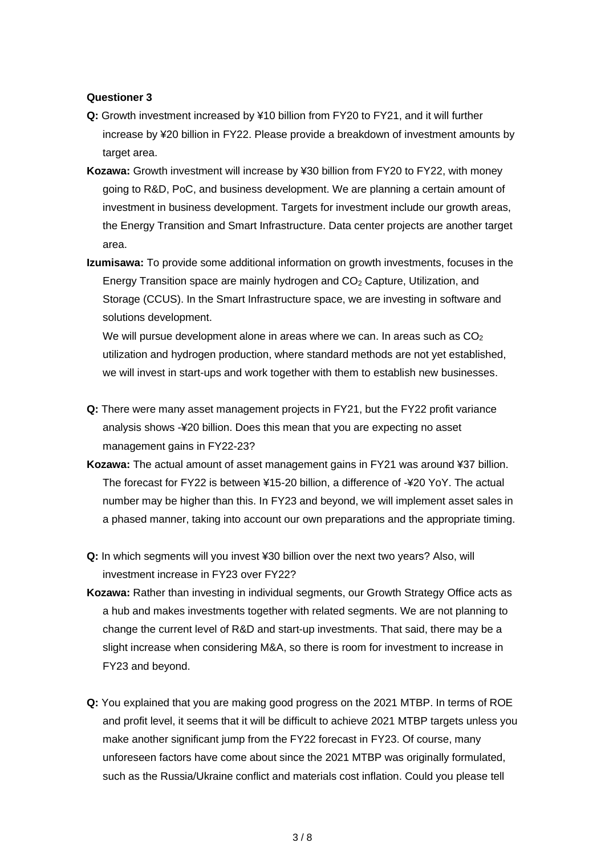#### **Questioner 3**

- **Q:** Growth investment increased by ¥10 billion from FY20 to FY21, and it will further increase by ¥20 billion in FY22. Please provide a breakdown of investment amounts by target area.
- **Kozawa:** Growth investment will increase by ¥30 billion from FY20 to FY22, with money going to R&D, PoC, and business development. We are planning a certain amount of investment in business development. Targets for investment include our growth areas, the Energy Transition and Smart Infrastructure. Data center projects are another target area.
- **Izumisawa:** To provide some additional information on growth investments, focuses in the Energy Transition space are mainly hydrogen and CO<sup>2</sup> Capture, Utilization, and Storage (CCUS). In the Smart Infrastructure space, we are investing in software and solutions development.

We will pursue development alone in areas where we can. In areas such as  $CO<sub>2</sub>$ utilization and hydrogen production, where standard methods are not yet established, we will invest in start-ups and work together with them to establish new businesses.

- **Q:** There were many asset management projects in FY21, but the FY22 profit variance analysis shows -¥20 billion. Does this mean that you are expecting no asset management gains in FY22-23?
- **Kozawa:** The actual amount of asset management gains in FY21 was around ¥37 billion. The forecast for FY22 is between ¥15-20 billion, a difference of -¥20 YoY. The actual number may be higher than this. In FY23 and beyond, we will implement asset sales in a phased manner, taking into account our own preparations and the appropriate timing.
- **Q:** In which segments will you invest ¥30 billion over the next two years? Also, will investment increase in FY23 over FY22?
- **Kozawa:** Rather than investing in individual segments, our Growth Strategy Office acts as a hub and makes investments together with related segments. We are not planning to change the current level of R&D and start-up investments. That said, there may be a slight increase when considering M&A, so there is room for investment to increase in FY23 and beyond.
- **Q:** You explained that you are making good progress on the 2021 MTBP. In terms of ROE and profit level, it seems that it will be difficult to achieve 2021 MTBP targets unless you make another significant jump from the FY22 forecast in FY23. Of course, many unforeseen factors have come about since the 2021 MTBP was originally formulated, such as the Russia/Ukraine conflict and materials cost inflation. Could you please tell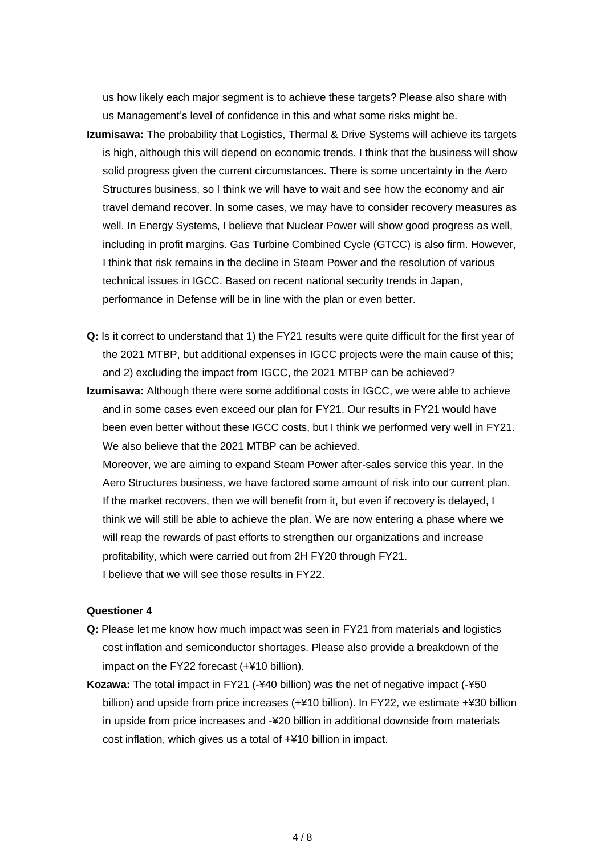us how likely each major segment is to achieve these targets? Please also share with us Management's level of confidence in this and what some risks might be.

- **Izumisawa:** The probability that Logistics, Thermal & Drive Systems will achieve its targets is high, although this will depend on economic trends. I think that the business will show solid progress given the current circumstances. There is some uncertainty in the Aero Structures business, so I think we will have to wait and see how the economy and air travel demand recover. In some cases, we may have to consider recovery measures as well. In Energy Systems, I believe that Nuclear Power will show good progress as well, including in profit margins. Gas Turbine Combined Cycle (GTCC) is also firm. However, I think that risk remains in the decline in Steam Power and the resolution of various technical issues in IGCC. Based on recent national security trends in Japan, performance in Defense will be in line with the plan or even better.
- **Q:** Is it correct to understand that 1) the FY21 results were quite difficult for the first year of the 2021 MTBP, but additional expenses in IGCC projects were the main cause of this; and 2) excluding the impact from IGCC, the 2021 MTBP can be achieved?
- **Izumisawa:** Although there were some additional costs in IGCC, we were able to achieve and in some cases even exceed our plan for FY21. Our results in FY21 would have been even better without these IGCC costs, but I think we performed very well in FY21. We also believe that the 2021 MTBP can be achieved.

Moreover, we are aiming to expand Steam Power after-sales service this year. In the Aero Structures business, we have factored some amount of risk into our current plan. If the market recovers, then we will benefit from it, but even if recovery is delayed, I think we will still be able to achieve the plan. We are now entering a phase where we will reap the rewards of past efforts to strengthen our organizations and increase profitability, which were carried out from 2H FY20 through FY21. I believe that we will see those results in FY22.

## **Questioner 4**

- **Q:** Please let me know how much impact was seen in FY21 from materials and logistics cost inflation and semiconductor shortages. Please also provide a breakdown of the impact on the FY22 forecast (+¥10 billion).
- **Kozawa:** The total impact in FY21 (-¥40 billion) was the net of negative impact (-¥50 billion) and upside from price increases (+¥10 billion). In FY22, we estimate +¥30 billion in upside from price increases and -¥20 billion in additional downside from materials cost inflation, which gives us a total of +¥10 billion in impact.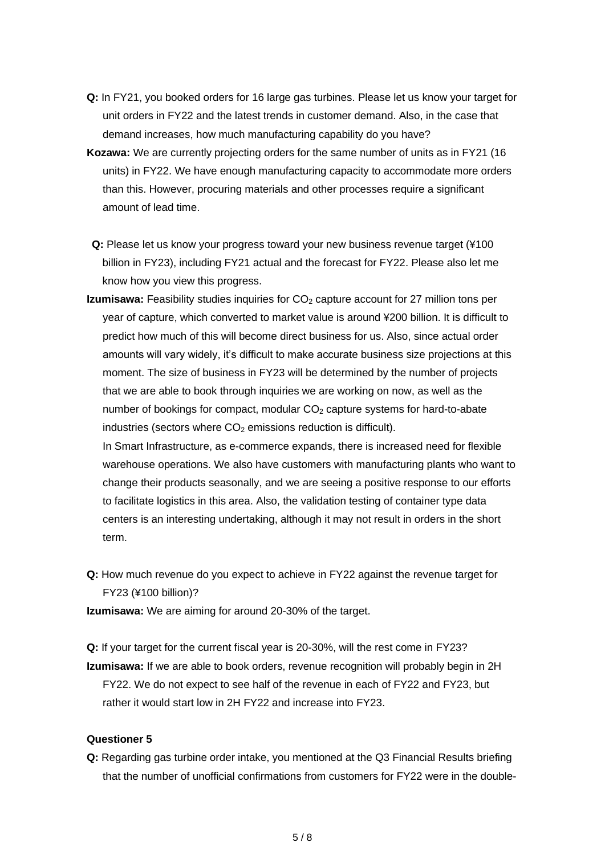- **Q:** In FY21, you booked orders for 16 large gas turbines. Please let us know your target for unit orders in FY22 and the latest trends in customer demand. Also, in the case that demand increases, how much manufacturing capability do you have?
- **Kozawa:** We are currently projecting orders for the same number of units as in FY21 (16 units) in FY22. We have enough manufacturing capacity to accommodate more orders than this. However, procuring materials and other processes require a significant amount of lead time.
- **Q:** Please let us know your progress toward your new business revenue target (¥100 billion in FY23), including FY21 actual and the forecast for FY22. Please also let me know how you view this progress.
- **Izumisawa:** Feasibility studies inquiries for CO<sub>2</sub> capture account for 27 million tons per year of capture, which converted to market value is around ¥200 billion. It is difficult to predict how much of this will become direct business for us. Also, since actual order amounts will vary widely, it's difficult to make accurate business size projections at this moment. The size of business in FY23 will be determined by the number of projects that we are able to book through inquiries we are working on now, as well as the number of bookings for compact, modular  $CO<sub>2</sub>$  capture systems for hard-to-abate industries (sectors where  $CO<sub>2</sub>$  emissions reduction is difficult).

In Smart Infrastructure, as e-commerce expands, there is increased need for flexible warehouse operations. We also have customers with manufacturing plants who want to change their products seasonally, and we are seeing a positive response to our efforts to facilitate logistics in this area. Also, the validation testing of container type data centers is an interesting undertaking, although it may not result in orders in the short term.

**Q:** How much revenue do you expect to achieve in FY22 against the revenue target for FY23 (¥100 billion)?

**Izumisawa:** We are aiming for around 20-30% of the target.

**Q:** If your target for the current fiscal year is 20-30%, will the rest come in FY23? **Izumisawa:** If we are able to book orders, revenue recognition will probably begin in 2H FY22. We do not expect to see half of the revenue in each of FY22 and FY23, but rather it would start low in 2H FY22 and increase into FY23.

# **Questioner 5**

**Q:** Regarding gas turbine order intake, you mentioned at the Q3 Financial Results briefing that the number of unofficial confirmations from customers for FY22 were in the double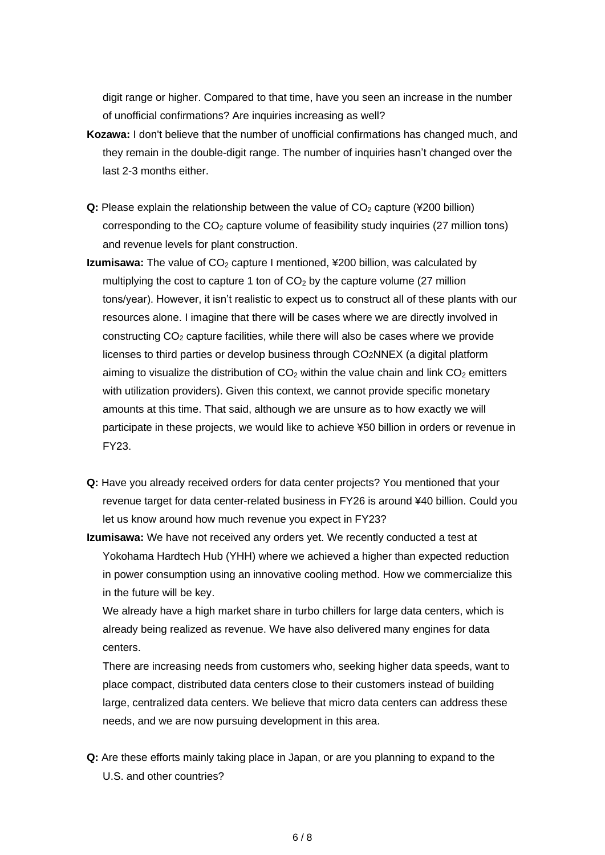digit range or higher. Compared to that time, have you seen an increase in the number of unofficial confirmations? Are inquiries increasing as well?

- **Kozawa:** I don't believe that the number of unofficial confirmations has changed much, and they remain in the double-digit range. The number of inquiries hasn't changed over the last 2-3 months either.
- **Q:** Please explain the relationship between the value of CO<sub>2</sub> capture (¥200 billion) corresponding to the  $CO<sub>2</sub>$  capture volume of feasibility study inquiries (27 million tons) and revenue levels for plant construction.
- **Izumisawa:** The value of CO<sub>2</sub> capture I mentioned, ¥200 billion, was calculated by multiplying the cost to capture 1 ton of  $CO<sub>2</sub>$  by the capture volume (27 million tons/year). However, it isn't realistic to expect us to construct all of these plants with our resources alone. I imagine that there will be cases where we are directly involved in constructing  $CO<sub>2</sub>$  capture facilities, while there will also be cases where we provide licenses to third parties or develop business through CO2NNEX (a digital platform aiming to visualize the distribution of  $CO<sub>2</sub>$  within the value chain and link  $CO<sub>2</sub>$  emitters with utilization providers). Given this context, we cannot provide specific monetary amounts at this time. That said, although we are unsure as to how exactly we will participate in these projects, we would like to achieve ¥50 billion in orders or revenue in FY23.
- **Q:** Have you already received orders for data center projects? You mentioned that your revenue target for data center-related business in FY26 is around ¥40 billion. Could you let us know around how much revenue you expect in FY23?
- **Izumisawa:** We have not received any orders yet. We recently conducted a test at Yokohama Hardtech Hub (YHH) where we achieved a higher than expected reduction in power consumption using an innovative cooling method. How we commercialize this in the future will be key.

We already have a high market share in turbo chillers for large data centers, which is already being realized as revenue. We have also delivered many engines for data centers.

There are increasing needs from customers who, seeking higher data speeds, want to place compact, distributed data centers close to their customers instead of building large, centralized data centers. We believe that micro data centers can address these needs, and we are now pursuing development in this area.

**Q:** Are these efforts mainly taking place in Japan, or are you planning to expand to the U.S. and other countries?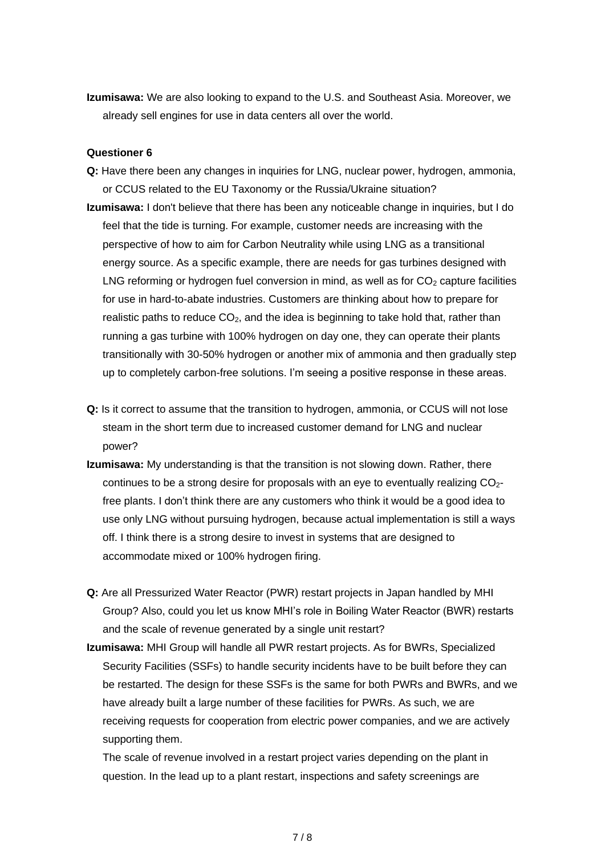**Izumisawa:** We are also looking to expand to the U.S. and Southeast Asia. Moreover, we already sell engines for use in data centers all over the world.

### **Questioner 6**

- **Q:** Have there been any changes in inquiries for LNG, nuclear power, hydrogen, ammonia, or CCUS related to the EU Taxonomy or the Russia/Ukraine situation?
- **Izumisawa:** I don't believe that there has been any noticeable change in inquiries, but I do feel that the tide is turning. For example, customer needs are increasing with the perspective of how to aim for Carbon Neutrality while using LNG as a transitional energy source. As a specific example, there are needs for gas turbines designed with LNG reforming or hydrogen fuel conversion in mind, as well as for  $CO<sub>2</sub>$  capture facilities for use in hard-to-abate industries. Customers are thinking about how to prepare for realistic paths to reduce  $CO<sub>2</sub>$ , and the idea is beginning to take hold that, rather than running a gas turbine with 100% hydrogen on day one, they can operate their plants transitionally with 30-50% hydrogen or another mix of ammonia and then gradually step up to completely carbon-free solutions. I'm seeing a positive response in these areas.
- **Q:** Is it correct to assume that the transition to hydrogen, ammonia, or CCUS will not lose steam in the short term due to increased customer demand for LNG and nuclear power?
- **Izumisawa:** My understanding is that the transition is not slowing down. Rather, there continues to be a strong desire for proposals with an eye to eventually realizing CO<sub>2</sub>free plants. I don't think there are any customers who think it would be a good idea to use only LNG without pursuing hydrogen, because actual implementation is still a ways off. I think there is a strong desire to invest in systems that are designed to accommodate mixed or 100% hydrogen firing.
- **Q:** Are all Pressurized Water Reactor (PWR) restart projects in Japan handled by MHI Group? Also, could you let us know MHI's role in Boiling Water Reactor (BWR) restarts and the scale of revenue generated by a single unit restart?
- **Izumisawa:** MHI Group will handle all PWR restart projects. As for BWRs, Specialized Security Facilities (SSFs) to handle security incidents have to be built before they can be restarted. The design for these SSFs is the same for both PWRs and BWRs, and we have already built a large number of these facilities for PWRs. As such, we are receiving requests for cooperation from electric power companies, and we are actively supporting them.

The scale of revenue involved in a restart project varies depending on the plant in question. In the lead up to a plant restart, inspections and safety screenings are